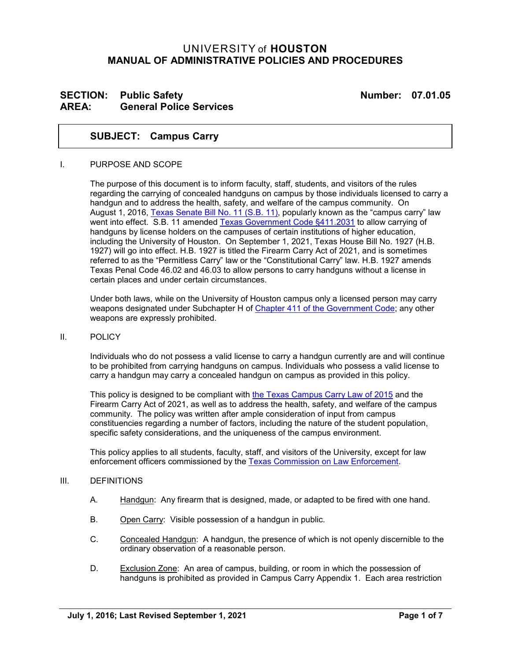## UNIVERSITY of **HOUSTON MANUAL OF ADMINISTRATIVE POLICIES AND PROCEDURES**

### **SECTION:** Public Safety **Number:** 07.01.05 **AREA: General Police Services**

#### **SUBJECT: Campus Carry**

#### I. PURPOSE AND SCOPE

The purpose of this document is to inform faculty, staff, students, and visitors of the rules regarding the carrying of concealed handguns on campus by those individuals licensed to carry a handgun and to address the health, safety, and welfare of the campus community. On August 1, 2016, [Texas Senate Bill No. 11 \(S.B. 11\),](http://www.capitol.state.tx.us/tlodocs/84R/billtext/pdf/SB00011F.pdf#navpanes=0) popularly known as the "campus carry" law went into effect. S.B. 11 amended [Texas Government](https://statutes.capitol.texas.gov/Docs/GV/htm/GV.411.htm#411.2031) Code §411.2031 to allow carrying of handguns by license holders on the campuses of certain institutions of higher education, including the University of Houston. On September 1, 2021, Texas House Bill No. 1927 (H.B. 1927) will go into effect. H.B. 1927 is titled the Firearm Carry Act of 2021, and is sometimes referred to as the "Permitless Carry" law or the "Constitutional Carry" law. H.B. 1927 amends Texas Penal Code 46.02 and 46.03 to allow persons to carry handguns without a license in certain places and under certain circumstances.

Under both laws, while on the University of Houston campus only a licensed person may carry weapons designated under Subchapter H of [Chapter 411 of the Government Code;](https://statutes.capitol.texas.gov/Docs/GV/htm/GV.411.htm) any other weapons are expressly prohibited.

#### II. POLICY

Individuals who do not possess a valid license to carry a handgun currently are and will continue to be prohibited from carrying handguns on campus. Individuals who possess a valid license to carry a handgun may carry a concealed handgun on campus as provided in this policy.

This policy is designed to be compliant with [the](http://www.capitol.state.tx.us/tlodocs/84R/billtext/pdf/SB00011F.pdf#navpanes=0) Texas Campus Carry Law of 2015 and the Firearm Carry Act of 2021, as well as to address the health, safety, and welfare of the campus community. The policy was written after ample consideration of input from campus constituencies regarding a number of factors, including the nature of the student population, specific safety considerations, and the uniqueness of the campus environment.

This policy applies to all students, faculty, staff, and visitors of the University, except for law enforcement officers commissioned by the [Texas Commission on Law Enforcement.](https://www.tcole.texas.gov/)

#### III. DEFINITIONS

- A. Handgun: Any firearm that is designed, made, or adapted to be fired with one hand.
- B. Open Carry: Visible possession of a handgun in public.
- C. Concealed Handgun: A handgun, the presence of which is not openly discernible to the ordinary observation of a reasonable person.
- D. Exclusion Zone: An area of campus, building, or room in which the possession of handguns is prohibited as provided in Campus Carry Appendix 1. Each area restriction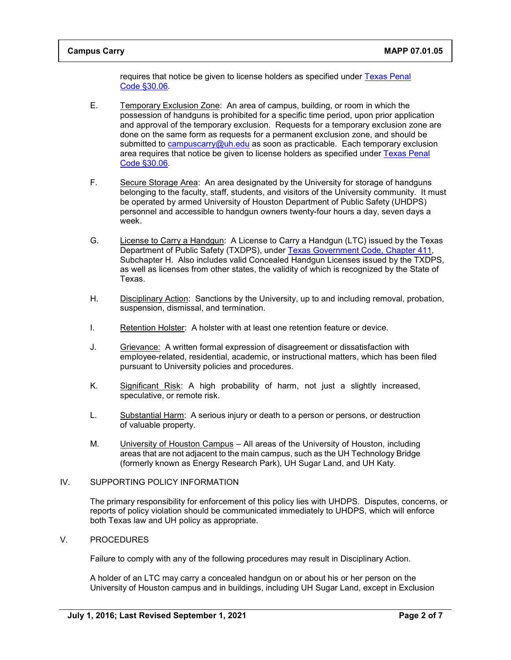requires that notice be given to license holders as specified under [Texas Penal](https://statutes.capitol.texas.gov/Docs/PE/htm/PE.30.htm#30.06)  [Code §30.06.](https://statutes.capitol.texas.gov/Docs/PE/htm/PE.30.htm#30.06)

- E. Temporary Exclusion Zone: An area of campus, building, or room in which the possession of handguns is prohibited for a specific time period, upon prior application and approval of the temporary exclusion. Requests for a temporary exclusion zone are done on the same form as requests for a permanent exclusion zone, and should be submitted to [campuscarry@uh.edu](mailto:campuscarry@uh.edu) as soon as practicable. Each temporary exclusion area requires that notice be given to license holders as specified under [Texas Penal](https://statutes.capitol.texas.gov/Docs/PE/htm/PE.30.htm#30.06)  [Code §30.06.](https://statutes.capitol.texas.gov/Docs/PE/htm/PE.30.htm#30.06)
- F. Secure Storage Area: An area designated by the University for storage of handguns belonging to the faculty, staff, students, and visitors of the University community. It must be operated by armed University of Houston Department of Public Safety (UHDPS) personnel and accessible to handgun owners twenty-four hours a day, seven days a week.
- G. License to Carry a Handgun: A License to Carry a Handgun (LTC) issued by the Texas Department of Public Safety (TXDPS), under [Texas Government Code,](https://statutes.capitol.texas.gov/Docs/GV/htm/GV.411.htm) Chapter 411, Subchapter H. Also includes valid Concealed Handgun Licenses issued by the TXDPS, as well as licenses from other states, the validity of which is recognized by the State of Texas.
- H. Disciplinary Action: Sanctions by the University, up to and including removal, probation, suspension, dismissal, and termination.
- I. Retention Holster: A holster with at least one retention feature or device.
- J. Grievance: A written formal expression of disagreement or dissatisfaction with employee-related, residential, academic, or instructional matters, which has been filed pursuant to University policies and procedures.
- K. Significant Risk: A high probability of harm, not just a slightly increased, speculative, or remote risk.
- L. Substantial Harm: A serious injury or death to a person or persons, or destruction of valuable property.
- M. University of Houston Campus All areas of the University of Houston, including areas that are not adjacent to the main campus, such as the UH Technology Bridge (formerly known as Energy Research Park), UH Sugar Land, and UH Katy.

#### IV. SUPPORTING POLICY INFORMATION

The primary responsibility for enforcement of this policy lies with UHDPS. Disputes, concerns, or reports of policy violation should be communicated immediately to UHDPS, which will enforce both Texas law and UH policy as appropriate.

#### V. PROCEDURES

Failure to comply with any of the following procedures may result in Disciplinary Action.

A holder of an LTC may carry a concealed handgun on or about his or her person on the University of Houston campus and in buildings, including UH Sugar Land, except in Exclusion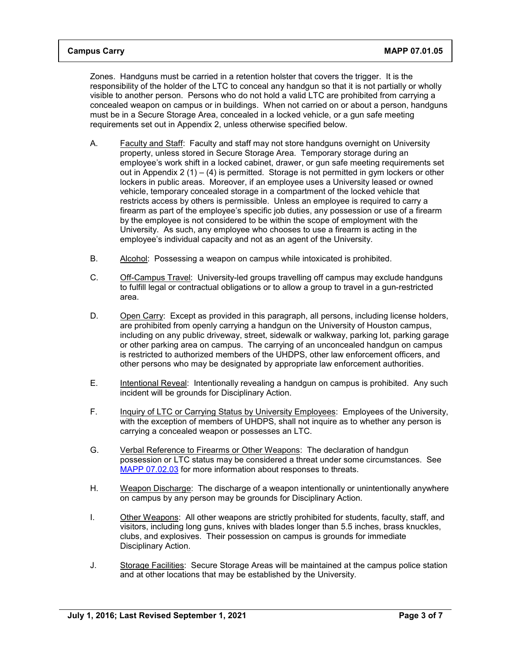Zones. Handguns must be carried in a retention holster that covers the trigger. It is the responsibility of the holder of the LTC to conceal any handgun so that it is not partially or wholly visible to another person. Persons who do not hold a valid LTC are prohibited from carrying a concealed weapon on campus or in buildings. When not carried on or about a person, handguns must be in a Secure Storage Area, concealed in a locked vehicle, or a gun safe meeting requirements set out in Appendix 2, unless otherwise specified below.

- A. Faculty and Staff: Faculty and staff may not store handguns overnight on University property, unless stored in Secure Storage Area. Temporary storage during an employee's work shift in a locked cabinet, drawer, or gun safe meeting requirements set out in Appendix  $2(1) - (4)$  is permitted. Storage is not permitted in gym lockers or other lockers in public areas. Moreover, if an employee uses a University leased or owned vehicle, temporary concealed storage in a compartment of the locked vehicle that restricts access by others is permissible. Unless an employee is required to carry a firearm as part of the employee's specific job duties, any possession or use of a firearm by the employee is not considered to be within the scope of employment with the University. As such, any employee who chooses to use a firearm is acting in the employee's individual capacity and not as an agent of the University.
- B. Alcohol: Possessing a weapon on campus while intoxicated is prohibited.
- C. Off-Campus Travel: University-led groups travelling off campus may exclude handguns to fulfill legal or contractual obligations or to allow a group to travel in a gun-restricted area.
- D. Open Carry: Except as provided in this paragraph, all persons, including license holders, are prohibited from openly carrying a handgun on the University of Houston campus, including on any public driveway, street, sidewalk or walkway, parking lot, parking garage or other parking area on campus. The carrying of an unconcealed handgun on campus is restricted to authorized members of the UHDPS, other law enforcement officers, and other persons who may be designated by appropriate law enforcement authorities.
- E. Intentional Reveal: Intentionally revealing a handgun on campus is prohibited. Any such incident will be grounds for Disciplinary Action.
- F. Inquiry of LTC or Carrying Status by University Employees: Employees of the University, with the exception of members of UHDPS, shall not inquire as to whether any person is carrying a concealed weapon or possesses an LTC.
- G. Verbal Reference to Firearms or Other Weapons: The declaration of handgun possession or LTC status may be considered a threat under some circumstances. See [MAPP 07.02.03](https://www.uh.edu/policies/_docs/mapp/07/070203.pdf) for more information about responses to threats.
- H. Weapon Discharge: The discharge of a weapon intentionally or unintentionally anywhere on campus by any person may be grounds for Disciplinary Action.
- I. Other Weapons: All other weapons are strictly prohibited for students, faculty, staff, and visitors, including long guns, knives with blades longer than 5.5 inches, brass knuckles, clubs, and explosives. Their possession on campus is grounds for immediate Disciplinary Action.
- J. Storage Facilities: Secure Storage Areas will be maintained at the campus police station and at other locations that may be established by the University.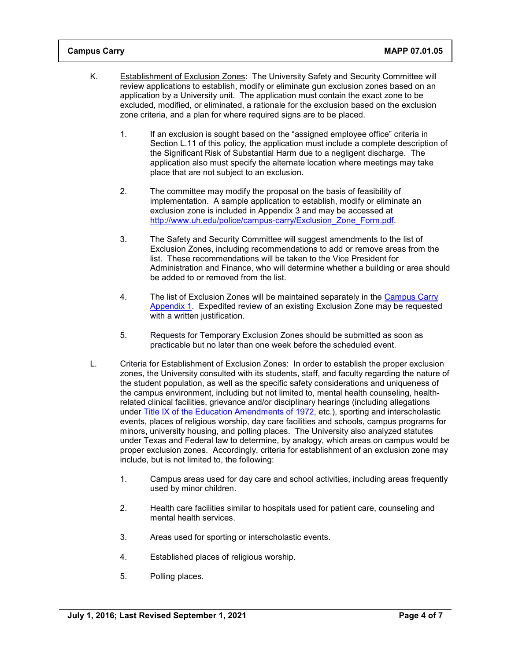- K. Establishment of Exclusion Zones: The University Safety and Security Committee will review applications to establish, modify or eliminate gun exclusion zones based on an application by a University unit. The application must contain the exact zone to be excluded, modified, or eliminated, a rationale for the exclusion based on the exclusion zone criteria, and a plan for where required signs are to be placed.
	- 1. If an exclusion is sought based on the "assigned employee office" criteria in Section L.11 of this policy, the application must include a complete description of the Significant Risk of Substantial Harm due to a negligent discharge. The application also must specify the alternate location where meetings may take place that are not subject to an exclusion.
	- 2. The committee may modify the proposal on the basis of feasibility of implementation. A sample application to establish, modify or eliminate an exclusion zone is included in Appendix 3 and may be accessed at [http://www.uh.edu/police/campus-carry/Exclusion\\_Zone\\_Form.pdf.](http://www.uh.edu/police/campus-carry/Exclusion_Zone_Form.pdf)
	- 3. The Safety and Security Committee will suggest amendments to the list of Exclusion Zones, including recommendations to add or remove areas from the list. These recommendations will be taken to the Vice President for Administration and Finance, who will determine whether a building or area should be added to or removed from the list.
	- 4. The list of Exclusion Zones will be maintained separately in the [Campus Carry](http://www.uh.edu/police/campus-carry/MAPP_07.01.05_Appendix1.pdf)  [Appendix 1.](http://www.uh.edu/police/campus-carry/MAPP_07.01.05_Appendix1.pdf) Expedited review of an existing Exclusion Zone may be requested with a written justification.
	- 5. Requests for Temporary Exclusion Zones should be submitted as soon as practicable but no later than one week before the scheduled event.
- L. Criteria for Establishment of Exclusion Zones: In order to establish the proper exclusion zones, the University consulted with its students, staff, and faculty regarding the nature of the student population, as well as the specific safety considerations and uniqueness of the campus environment, including but not limited to, mental health counseling, healthrelated clinical facilities, grievance and/or disciplinary hearings (including allegations under Title IX [of the Education Amendments of 1972,](https://www.dol.gov/oasam/regs/statutes/titleix.htm) etc.), sporting and interscholastic events, places of religious worship, day care facilities and schools, campus programs for minors, university housing, and polling places. The University also analyzed statutes under Texas and Federal law to determine, by analogy, which areas on campus would be proper exclusion zones. Accordingly, criteria for establishment of an exclusion zone may include, but is not limited to, the following:
	- 1. Campus areas used for day care and school activities, including areas frequently used by minor children.
	- 2. Health care facilities similar to hospitals used for patient care, counseling and mental health services.
	- 3. Areas used for sporting or interscholastic events.
	- 4. Established places of religious worship.
	- 5. Polling places.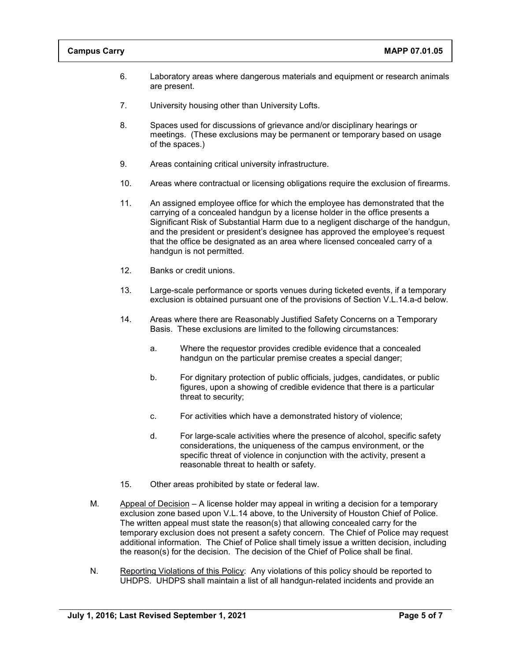- 6. Laboratory areas where dangerous materials and equipment or research animals are present.
- 7. University housing other than University Lofts.
- 8. Spaces used for discussions of grievance and/or disciplinary hearings or meetings. (These exclusions may be permanent or temporary based on usage of the spaces.)
- 9. Areas containing critical university infrastructure.
- 10. Areas where contractual or licensing obligations require the exclusion of firearms.
- 11. An assigned employee office for which the employee has demonstrated that the carrying of a concealed handgun by a license holder in the office presents a Significant Risk of Substantial Harm due to a negligent discharge of the handgun, and the president or president's designee has approved the employee's request that the office be designated as an area where licensed concealed carry of a handgun is not permitted.
- 12. Banks or credit unions.
- 13. Large-scale performance or sports venues during ticketed events, if a temporary exclusion is obtained pursuant one of the provisions of Section V.L.14.a-d below.
- 14. Areas where there are Reasonably Justified Safety Concerns on a Temporary Basis. These exclusions are limited to the following circumstances:
	- a. Where the requestor provides credible evidence that a concealed handgun on the particular premise creates a special danger;
	- b. For dignitary protection of public officials, judges, candidates, or public figures, upon a showing of credible evidence that there is a particular threat to security;
	- c. For activities which have a demonstrated history of violence;
	- d. For large-scale activities where the presence of alcohol, specific safety considerations, the uniqueness of the campus environment, or the specific threat of violence in conjunction with the activity, present a reasonable threat to health or safety.
- 15. Other areas prohibited by state or federal law.
- M. Appeal of Decision A license holder may appeal in writing a decision for a temporary exclusion zone based upon V.L.14 above, to the University of Houston Chief of Police. The written appeal must state the reason(s) that allowing concealed carry for the temporary exclusion does not present a safety concern. The Chief of Police may request additional information. The Chief of Police shall timely issue a written decision, including the reason(s) for the decision. The decision of the Chief of Police shall be final.
- N. Reporting Violations of this Policy: Any violations of this policy should be reported to UHDPS. UHDPS shall maintain a list of all handgun-related incidents and provide an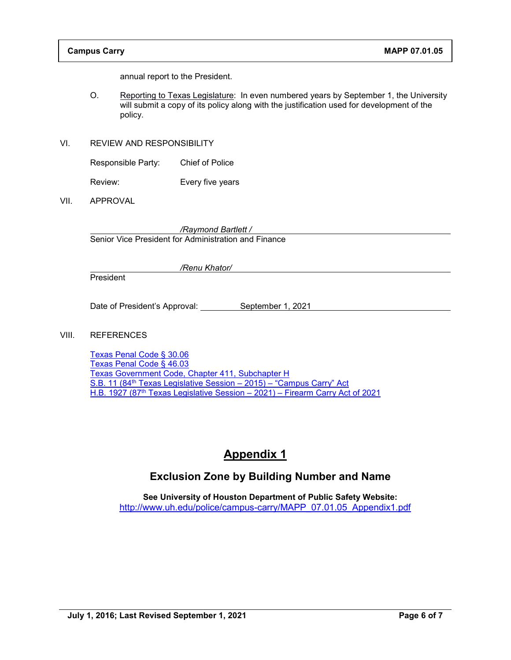annual report to the President.

- O. Reporting to Texas Legislature: In even numbered years by September 1, the University will submit a copy of its policy along with the justification used for development of the policy.
- VI. REVIEW AND RESPONSIBILITY

Responsible Party: Chief of Police

Review: Every five years

VII. APPROVAL

*/Raymond Bartlett /*

Senior Vice President for Administration and Finance

President

Date of President's Approval: September 1, 2021

*/Renu Khator/*

#### VIII. REFERENCES

[Texas Penal Code § 30.06](https://statutes.capitol.texas.gov/Docs/PE/htm/PE.30.htm#30.06) [Texas Penal Code § 46.03](https://statutes.capitol.texas.gov/Docs/PE/htm/PE.46.htm#46.03) Texas Government Code, [Chapter 411, Subchapter H](https://statutes.capitol.texas.gov/Docs/GV/htm/GV.411.htm) S.B. 11 (84<sup>th</sup> Texas Legislative Session - 2015) - "Campus Carry" Act H.B. 1927 (87th [Texas Legislative Session –](https://capitol.texas.gov/tlodocs/87R/billtext/pdf/HB01927F.pdf#navpanes=0) 2021) – Firearm Carry Act of 2021

# **Appendix 1**

## **Exclusion Zone by Building Number and Name**

**See University of Houston Department of Public Safety Website:**  [http://www.uh.edu/police/campus-carry/MAPP\\_07.01.05\\_Appendix1.pdf](http://www.uh.edu/police/campus-carry/MAPP_07.01.05_Appendix1.pdf)